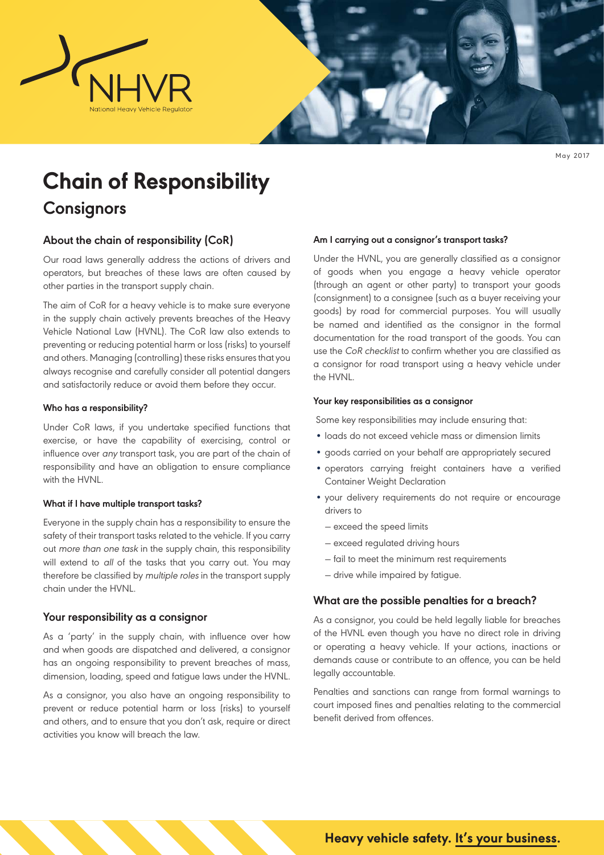

May 2017

# **Chain of Responsibility Consignors**

## **About the chain of responsibility (CoR)**

Our road laws generally address the actions of drivers and operators, but breaches of these laws are often caused by other parties in the transport supply chain.

The aim of CoR for a heavy vehicle is to make sure everyone in the supply chain actively prevents breaches of the Heavy Vehicle National Law (HVNL). The CoR law also extends to preventing or reducing potential harm or loss (risks) to yourself and others. Managing (controlling) these risks ensures that you always recognise and carefully consider all potential dangers and satisfactorily reduce or avoid them before they occur.

## **Who has a responsibility?**

Under CoR laws, if you undertake specified functions that exercise, or have the capability of exercising, control or influence over any transport task, you are part of the chain of responsibility and have an obligation to ensure compliance with the HVNL.

## **What if I have multiple transport tasks?**

Everyone in the supply chain has a responsibility to ensure the safety of their transport tasks related to the vehicle. If you carry out more than one task in the supply chain, this responsibility will extend to all of the tasks that you carry out. You may therefore be classified by multiple roles in the transport supply chain under the HVNL.

## **Your responsibility as a consignor**

As a 'party' in the supply chain, with influence over how and when goods are dispatched and delivered, a consignor has an ongoing responsibility to prevent breaches of mass, dimension, loading, speed and fatigue laws under the HVNL.

As a consignor, you also have an ongoing responsibility to prevent or reduce potential harm or loss (risks) to yourself and others, and to ensure that you don't ask, require or direct activities you know will breach the law.

## **Am I carrying out a consignor's transport tasks?**

Under the HVNL, you are generally classified as a consignor of goods when you engage a heavy vehicle operator (through an agent or other party) to transport your goods (consignment) to a consignee (such as a buyer receiving your goods) by road for commercial purposes. You will usually be named and identified as the consignor in the formal documentation for the road transport of the goods. You can use the CoR checklist to confirm whether you are classified as a consignor for road transport using a heavy vehicle under the HVNL.

### **Your key responsibilities as a consignor**

Some key responsibilities may include ensuring that:

- loads do not exceed vehicle mass or dimension limits
- goods carried on your behalf are appropriately secured
- operators carrying freight containers have a verified Container Weight Declaration
- your delivery requirements do not require or encourage drivers to
	- ― exceed the speed limits
	- ― exceed regulated driving hours
	- ― fail to meet the minimum rest requirements
	- ― drive while impaired by fatigue.

## **What are the possible penalties for a breach?**

As a consignor, you could be held legally liable for breaches of the HVNL even though you have no direct role in driving or operating a heavy vehicle. If your actions, inactions or demands cause or contribute to an offence, you can be held legally accountable.

Penalties and sanctions can range from formal warnings to court imposed fines and penalties relating to the commercial benefit derived from offences.

**Heavy vehicle safety. It's your business.**